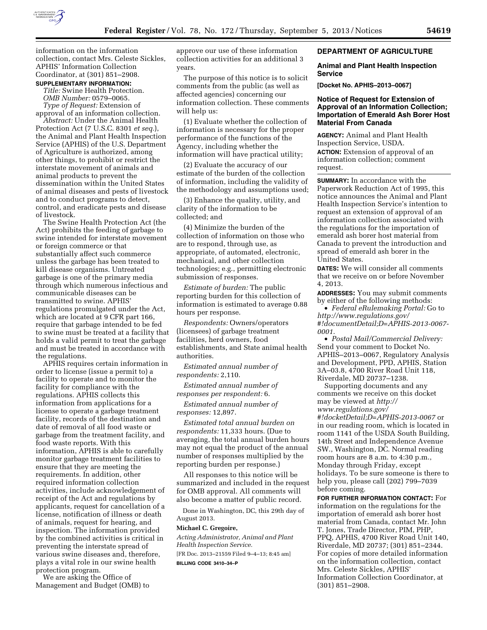

information on the information collection, contact Mrs. Celeste Sickles, APHIS' Information Collection Coordinator, at (301) 851–2908.

### **SUPPLEMENTARY INFORMATION:**

*Title:* Swine Health Protection. *OMB Number:* 0579–0065. *Type of Request:* Extension of

approval of an information collection. *Abstract:* Under the Animal Health Protection Act (7 U.S.C. 8301 *et seq.*), the Animal and Plant Health Inspection Service (APHIS) of the U.S. Department of Agriculture is authorized, among other things, to prohibit or restrict the interstate movement of animals and animal products to prevent the dissemination within the United States of animal diseases and pests of livestock and to conduct programs to detect, control, and eradicate pests and disease of livestock.

The Swine Health Protection Act (the Act) prohibits the feeding of garbage to swine intended for interstate movement or foreign commerce or that substantially affect such commerce unless the garbage has been treated to kill disease organisms. Untreated garbage is one of the primary media through which numerous infectious and communicable diseases can be transmitted to swine. APHIS' regulations promulgated under the Act, which are located at 9 CFR part 166, require that garbage intended to be fed to swine must be treated at a facility that holds a valid permit to treat the garbage and must be treated in accordance with the regulations.

APHIS requires certain information in order to license (issue a permit to) a facility to operate and to monitor the facility for compliance with the regulations. APHIS collects this information from applications for a license to operate a garbage treatment facility, records of the destination and date of removal of all food waste or garbage from the treatment facility, and food waste reports. With this information, APHIS is able to carefully monitor garbage treatment facilities to ensure that they are meeting the requirements. In addition, other required information collection activities, include acknowledgement of receipt of the Act and regulations by applicants, request for cancellation of a license, notification of illness or death of animals, request for hearing, and inspection. The information provided by the combined activities is critical in preventing the interstate spread of various swine diseases and, therefore, plays a vital role in our swine health protection program.

We are asking the Office of Management and Budget (OMB) to approve our use of these information collection activities for an additional 3 years.

The purpose of this notice is to solicit comments from the public (as well as affected agencies) concerning our information collection. These comments will help us:

(1) Evaluate whether the collection of information is necessary for the proper performance of the functions of the Agency, including whether the information will have practical utility;

(2) Evaluate the accuracy of our estimate of the burden of the collection of information, including the validity of the methodology and assumptions used;

(3) Enhance the quality, utility, and clarity of the information to be collected; and

(4) Minimize the burden of the collection of information on those who are to respond, through use, as appropriate, of automated, electronic, mechanical, and other collection technologies; e.g., permitting electronic submission of responses.

*Estimate of burden:* The public reporting burden for this collection of information is estimated to average 0.88 hours per response.

*Respondents:* Owners/operators (licensees) of garbage treatment facilities, herd owners, food establishments, and State animal health authorities.

*Estimated annual number of respondents:* 2,110.

*Estimated annual number of responses per respondent:* 6.

*Estimated annual number of responses:* 12,897.

*Estimated total annual burden on respondents:* 11,333 hours. (Due to averaging, the total annual burden hours may not equal the product of the annual number of responses multiplied by the reporting burden per response.)

All responses to this notice will be summarized and included in the request for OMB approval. All comments will also become a matter of public record.

Done in Washington, DC, this 29th day of August 2013.

#### **Michael C. Gregoire,**

*Acting Administrator, Animal and Plant Health Inspection Service.*  [FR Doc. 2013–21559 Filed 9–4–13; 8:45 am]

**BILLING CODE 3410–34–P** 

### **DEPARTMENT OF AGRICULTURE**

## **Animal and Plant Health Inspection Service**

**[Docket No. APHIS–2013–0067]** 

# **Notice of Request for Extension of Approval of an Information Collection; Importation of Emerald Ash Borer Host Material From Canada**

**AGENCY:** Animal and Plant Health Inspection Service, USDA. **ACTION:** Extension of approval of an information collection; comment request.

**SUMMARY:** In accordance with the Paperwork Reduction Act of 1995, this notice announces the Animal and Plant Health Inspection Service's intention to request an extension of approval of an information collection associated with the regulations for the importation of emerald ash borer host material from Canada to prevent the introduction and spread of emerald ash borer in the United States.

**DATES:** We will consider all comments that we receive on or before November 4, 2013.

**ADDRESSES:** You may submit comments by either of the following methods:

• *Federal eRulemaking Portal:* Go to *[http://www.regulations.gov/](http://www.regulations.gov/#!documentDetail;D=APHIS-2013-0067-0001) [#!documentDetail;D=APHIS-2013-0067-](http://www.regulations.gov/#!documentDetail;D=APHIS-2013-0067-0001) [0001](http://www.regulations.gov/#!documentDetail;D=APHIS-2013-0067-0001)*.

• *Postal Mail/Commercial Delivery:*  Send your comment to Docket No. APHIS–2013–0067, Regulatory Analysis and Development, PPD, APHIS, Station 3A–03.8, 4700 River Road Unit 118, Riverdale, MD 20737–1238.

Supporting documents and any comments we receive on this docket may be viewed at *[http://](http://www.regulations.gov/#!docketDetail;D=APHIS-2013-0067) [www.regulations.gov/](http://www.regulations.gov/#!docketDetail;D=APHIS-2013-0067)*

*[#!docketDetail;D=APHIS-2013-0067](http://www.regulations.gov/#!docketDetail;D=APHIS-2013-0067)* or in our reading room, which is located in room 1141 of the USDA South Building, 14th Street and Independence Avenue SW., Washington, DC. Normal reading room hours are 8 a.m. to 4:30 p.m., Monday through Friday, except holidays. To be sure someone is there to help you, please call (202) 799–7039 before coming.

**FOR FURTHER INFORMATION CONTACT:** For information on the regulations for the importation of emerald ash borer host material from Canada, contact Mr. John T. Jones, Trade Director, PIM, PHP, PPQ, APHIS, 4700 River Road Unit 140, Riverdale, MD 20737; (301) 851–2344. For copies of more detailed information on the information collection, contact Mrs. Celeste Sickles, APHIS' Information Collection Coordinator, at (301) 851–2908.